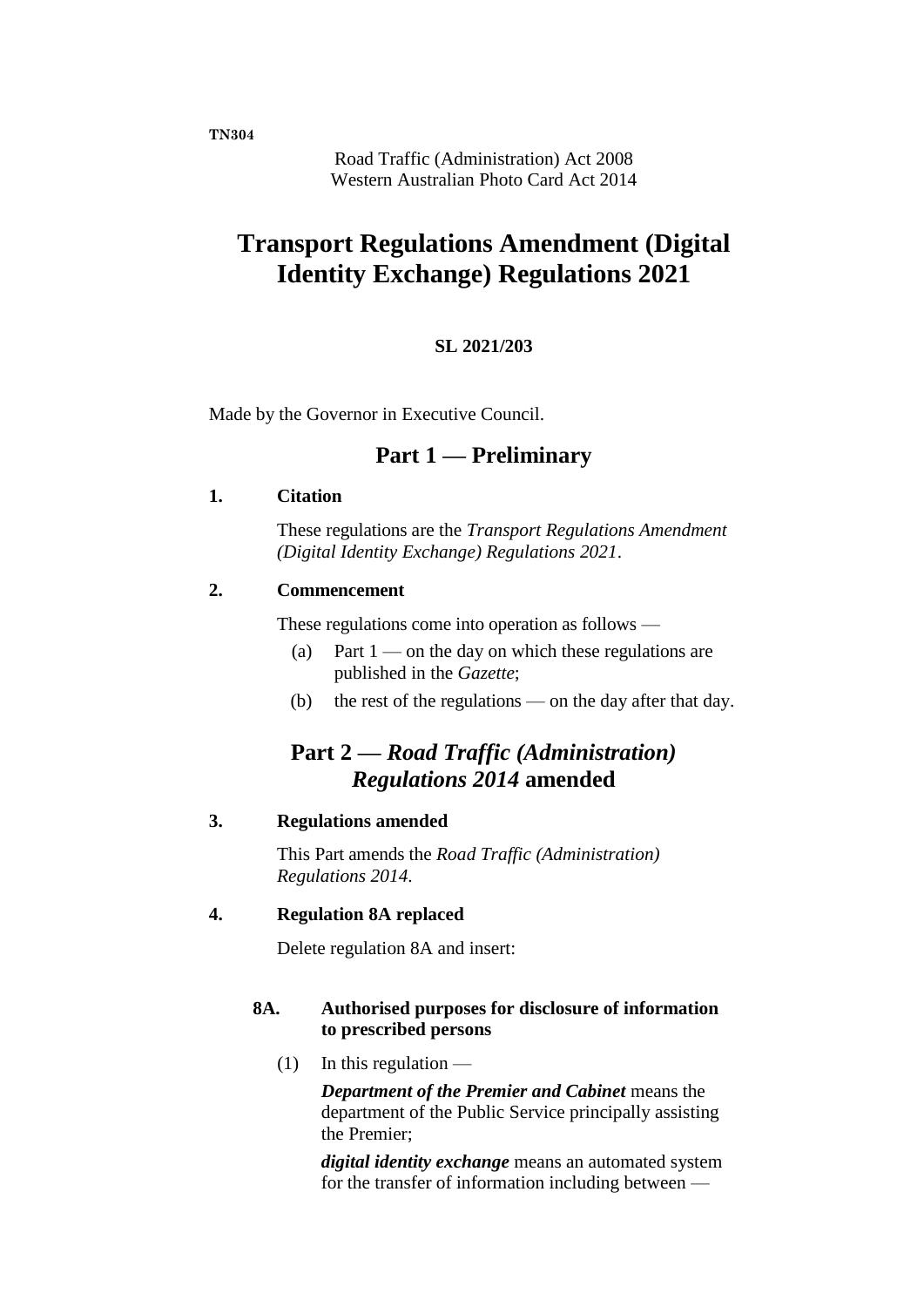**TN304**

Road Traffic (Administration) Act 2008 Western Australian Photo Card Act 2014

# **Transport Regulations Amendment (Digital Identity Exchange) Regulations 2021**

#### **SL 2021/203**

Made by the Governor in Executive Council.

### **Part 1 — Preliminary**

#### **1. Citation**

These regulations are the *Transport Regulations Amendment (Digital Identity Exchange) Regulations 2021*.

#### **2. Commencement**

These regulations come into operation as follows —

- (a) Part  $1$  on the day on which these regulations are published in the *Gazette*;
- (b) the rest of the regulations on the day after that day.

## **Part 2 —** *Road Traffic (Administration) Regulations 2014* **amended**

#### **3. Regulations amended**

This Part amends the *Road Traffic (Administration) Regulations 2014*.

#### **4. Regulation 8A replaced**

Delete regulation 8A and insert:

#### **8A. Authorised purposes for disclosure of information to prescribed persons**

 $(1)$  In this regulation —

*Department of the Premier and Cabinet* means the department of the Public Service principally assisting the Premier;

*digital identity exchange* means an automated system for the transfer of information including between —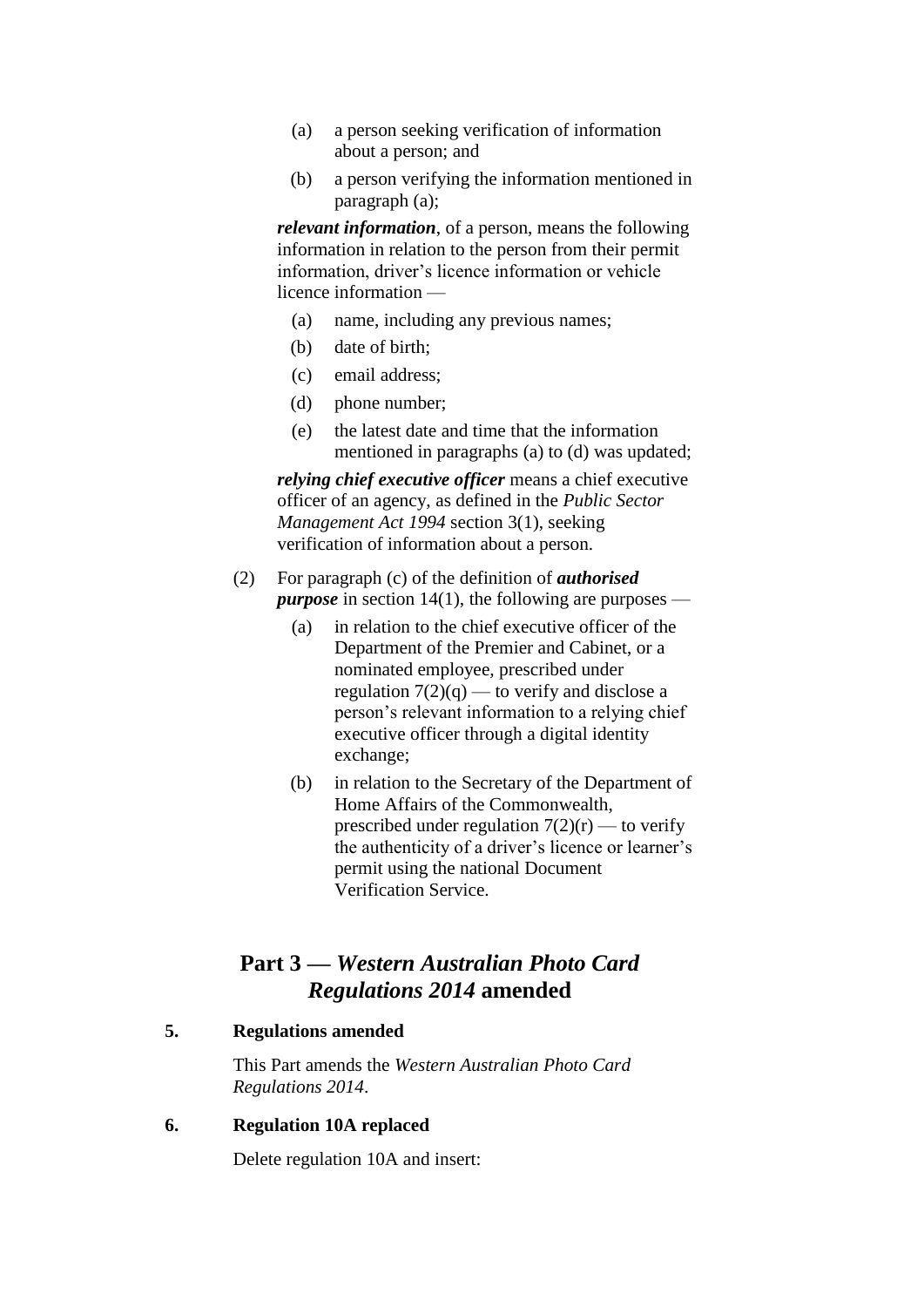- (a) a person seeking verification of information about a person; and
- (b) a person verifying the information mentioned in paragraph (a);

*relevant information*, of a person, means the following information in relation to the person from their permit information, driver's licence information or vehicle licence information —

- (a) name, including any previous names;
- (b) date of birth;
- (c) email address;
- (d) phone number;
- (e) the latest date and time that the information mentioned in paragraphs (a) to (d) was updated;

*relying chief executive officer* means a chief executive officer of an agency, as defined in the *Public Sector Management Act 1994* section 3(1), seeking verification of information about a person.

- (2) For paragraph (c) of the definition of *authorised purpose* in section 14(1), the following are purposes —
	- (a) in relation to the chief executive officer of the Department of the Premier and Cabinet, or a nominated employee, prescribed under regulation  $7(2)(q)$  — to verify and disclose a person's relevant information to a relying chief executive officer through a digital identity exchange;
	- (b) in relation to the Secretary of the Department of Home Affairs of the Commonwealth, prescribed under regulation  $7(2)(r)$  — to verify the authenticity of a driver's licence or learner's permit using the national Document Verification Service.

### **Part 3 —** *Western Australian Photo Card Regulations 2014* **amended**

#### **5. Regulations amended**

This Part amends the *Western Australian Photo Card Regulations 2014*.

#### **6. Regulation 10A replaced**

Delete regulation 10A and insert: